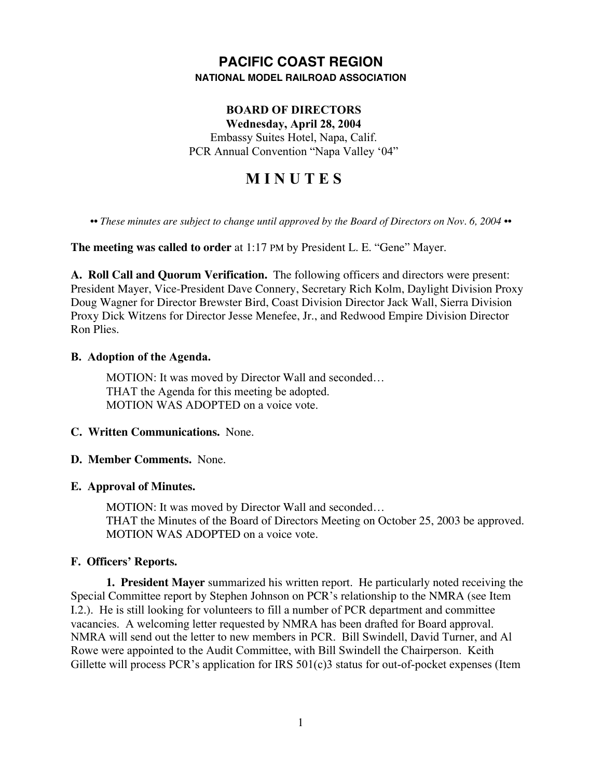# **PACIFIC COAST REGION NATIONAL MODEL RAILROAD ASSOCIATION**

# **BOARD OF DIRECTORS**

**Wednesday, April 28, 2004** Embassy Suites Hotel, Napa, Calif. PCR Annual Convention "Napa Valley '04"

# **M I N U T E S**

*•• These minutes are subject to change until approved by the Board of Directors on Nov. 6, 2004 ••*

**The meeting was called to order** at 1:17 PM by President L. E. "Gene" Mayer.

**A. Roll Call and Quorum Verification.** The following officers and directors were present: President Mayer, Vice-President Dave Connery, Secretary Rich Kolm, Daylight Division Proxy Doug Wagner for Director Brewster Bird, Coast Division Director Jack Wall, Sierra Division Proxy Dick Witzens for Director Jesse Menefee, Jr., and Redwood Empire Division Director Ron Plies.

#### **B. Adoption of the Agenda.**

MOTION: It was moved by Director Wall and seconded… THAT the Agenda for this meeting be adopted. MOTION WAS ADOPTED on a voice vote.

# **C. Written Communications.** None.

# **D. Member Comments.** None.

# **E. Approval of Minutes.**

MOTION: It was moved by Director Wall and seconded… THAT the Minutes of the Board of Directors Meeting on October 25, 2003 be approved. MOTION WAS ADOPTED on a voice vote.

#### **F. Officers' Reports.**

**1. President Mayer** summarized his written report. He particularly noted receiving the Special Committee report by Stephen Johnson on PCR's relationship to the NMRA (see Item I.2.). He is still looking for volunteers to fill a number of PCR department and committee vacancies. A welcoming letter requested by NMRA has been drafted for Board approval. NMRA will send out the letter to new members in PCR. Bill Swindell, David Turner, and Al Rowe were appointed to the Audit Committee, with Bill Swindell the Chairperson. Keith Gillette will process PCR's application for IRS 501(c)3 status for out-of-pocket expenses (Item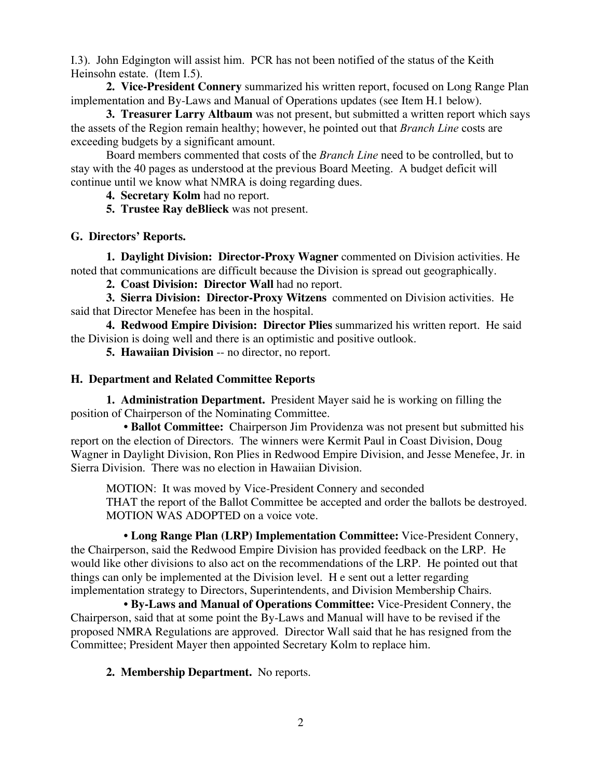I.3). John Edgington will assist him. PCR has not been notified of the status of the Keith Heinsohn estate. (Item I.5).

**2. Vice-President Connery** summarized his written report, focused on Long Range Plan implementation and By-Laws and Manual of Operations updates (see Item H.1 below).

**3. Treasurer Larry Altbaum** was not present, but submitted a written report which says the assets of the Region remain healthy; however, he pointed out that *Branch Line* costs are exceeding budgets by a significant amount.

Board members commented that costs of the *Branch Line* need to be controlled, but to stay with the 40 pages as understood at the previous Board Meeting. A budget deficit will continue until we know what NMRA is doing regarding dues.

**4. Secretary Kolm** had no report.

**5. Trustee Ray deBlieck** was not present.

#### **G. Directors' Reports.**

**1. Daylight Division: Director-Proxy Wagner** commented on Division activities. He noted that communications are difficult because the Division is spread out geographically.

**2. Coast Division: Director Wall** had no report.

**3. Sierra Division: Director-Proxy Witzens** commented on Division activities. He said that Director Menefee has been in the hospital.

**4. Redwood Empire Division: Director Plies** summarized his written report. He said the Division is doing well and there is an optimistic and positive outlook.

**5. Hawaiian Division** -- no director, no report.

# **H. Department and Related Committee Reports**

**1. Administration Department.** President Mayer said he is working on filling the position of Chairperson of the Nominating Committee.

 **• Ballot Committee:** Chairperson Jim Providenza was not present but submitted his report on the election of Directors. The winners were Kermit Paul in Coast Division, Doug Wagner in Daylight Division, Ron Plies in Redwood Empire Division, and Jesse Menefee, Jr. in Sierra Division. There was no election in Hawaiian Division.

MOTION: It was moved by Vice-President Connery and seconded THAT the report of the Ballot Committee be accepted and order the ballots be destroyed. MOTION WAS ADOPTED on a voice vote.

 • **Long Range Plan (LRP) Implementation Committee:** Vice-President Connery, the Chairperson, said the Redwood Empire Division has provided feedback on the LRP. He would like other divisions to also act on the recommendations of the LRP. He pointed out that things can only be implemented at the Division level. H e sent out a letter regarding implementation strategy to Directors, Superintendents, and Division Membership Chairs.

 • **By-Laws and Manual of Operations Committee:** Vice-President Connery, the Chairperson, said that at some point the By-Laws and Manual will have to be revised if the proposed NMRA Regulations are approved. Director Wall said that he has resigned from the Committee; President Mayer then appointed Secretary Kolm to replace him.

**2. Membership Department.** No reports.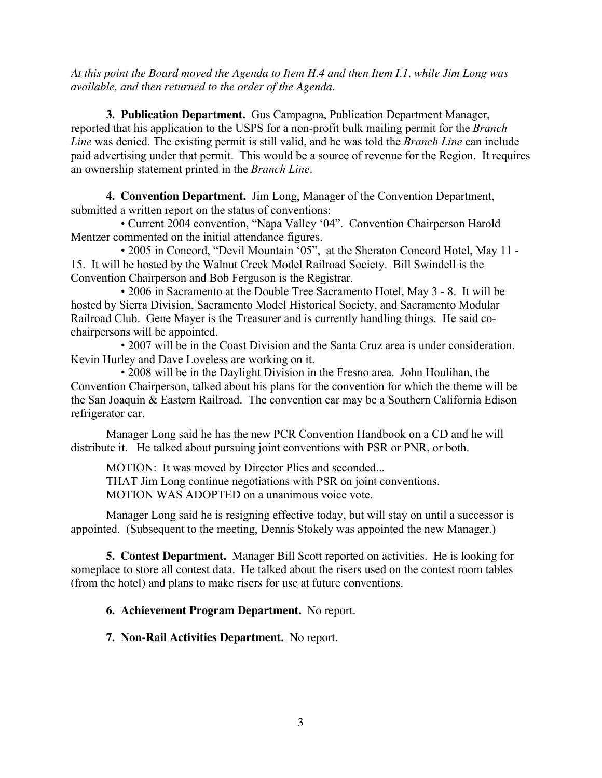*At this point the Board moved the Agenda to Item H.4 and then Item I.1, while Jim Long was available, and then returned to the order of the Agenda.*

**3. Publication Department.** Gus Campagna, Publication Department Manager, reported that his application to the USPS for a non-profit bulk mailing permit for the *Branch Line* was denied. The existing permit is still valid, and he was told the *Branch Line* can include paid advertising under that permit. This would be a source of revenue for the Region. It requires an ownership statement printed in the *Branch Line*.

**4. Convention Department.** Jim Long, Manager of the Convention Department, submitted a written report on the status of conventions:

 • Current 2004 convention, "Napa Valley '04". Convention Chairperson Harold Mentzer commented on the initial attendance figures.

 • 2005 in Concord, "Devil Mountain '05", at the Sheraton Concord Hotel, May 11 - 15. It will be hosted by the Walnut Creek Model Railroad Society. Bill Swindell is the Convention Chairperson and Bob Ferguson is the Registrar.

 • 2006 in Sacramento at the Double Tree Sacramento Hotel, May 3 - 8. It will be hosted by Sierra Division, Sacramento Model Historical Society, and Sacramento Modular Railroad Club. Gene Mayer is the Treasurer and is currently handling things. He said cochairpersons will be appointed.

 • 2007 will be in the Coast Division and the Santa Cruz area is under consideration. Kevin Hurley and Dave Loveless are working on it.

 • 2008 will be in the Daylight Division in the Fresno area. John Houlihan, the Convention Chairperson, talked about his plans for the convention for which the theme will be the San Joaquin & Eastern Railroad. The convention car may be a Southern California Edison refrigerator car.

Manager Long said he has the new PCR Convention Handbook on a CD and he will distribute it. He talked about pursuing joint conventions with PSR or PNR, or both.

MOTION: It was moved by Director Plies and seconded... THAT Jim Long continue negotiations with PSR on joint conventions. MOTION WAS ADOPTED on a unanimous voice vote.

Manager Long said he is resigning effective today, but will stay on until a successor is appointed. (Subsequent to the meeting, Dennis Stokely was appointed the new Manager.)

**5. Contest Department.** Manager Bill Scott reported on activities. He is looking for someplace to store all contest data. He talked about the risers used on the contest room tables (from the hotel) and plans to make risers for use at future conventions.

# **6. Achievement Program Department.** No report.

**7. Non-Rail Activities Department.** No report.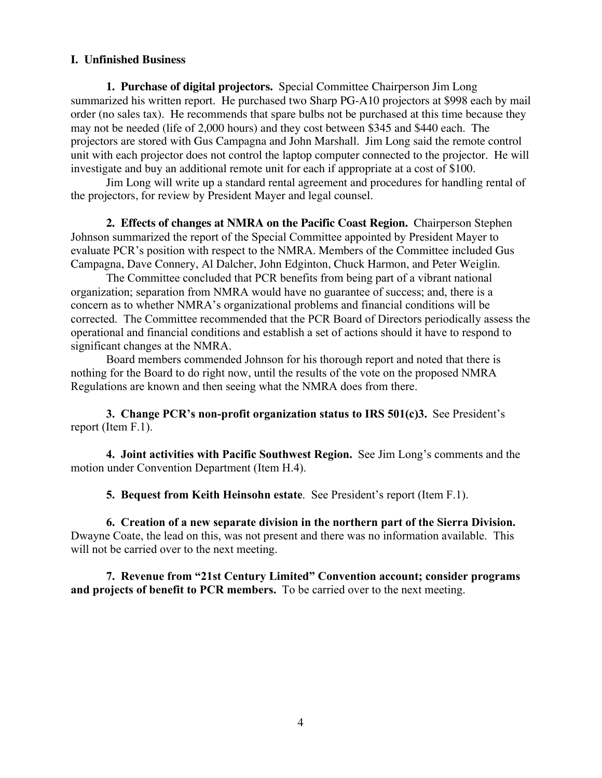#### **I. Unfinished Business**

**1. Purchase of digital projectors.** Special Committee Chairperson Jim Long summarized his written report. He purchased two Sharp PG-A10 projectors at \$998 each by mail order (no sales tax). He recommends that spare bulbs not be purchased at this time because they may not be needed (life of 2,000 hours) and they cost between \$345 and \$440 each. The projectors are stored with Gus Campagna and John Marshall. Jim Long said the remote control unit with each projector does not control the laptop computer connected to the projector. He will investigate and buy an additional remote unit for each if appropriate at a cost of \$100.

Jim Long will write up a standard rental agreement and procedures for handling rental of the projectors, for review by President Mayer and legal counsel.

**2. Effects of changes at NMRA on the Pacific Coast Region.** Chairperson Stephen Johnson summarized the report of the Special Committee appointed by President Mayer to evaluate PCR's position with respect to the NMRA. Members of the Committee included Gus Campagna, Dave Connery, Al Dalcher, John Edginton, Chuck Harmon, and Peter Weiglin.

The Committee concluded that PCR benefits from being part of a vibrant national organization; separation from NMRA would have no guarantee of success; and, there is a concern as to whether NMRA's organizational problems and financial conditions will be corrected. The Committee recommended that the PCR Board of Directors periodically assess the operational and financial conditions and establish a set of actions should it have to respond to significant changes at the NMRA.

Board members commended Johnson for his thorough report and noted that there is nothing for the Board to do right now, until the results of the vote on the proposed NMRA Regulations are known and then seeing what the NMRA does from there.

**3. Change PCR's non-profit organization status to IRS 501(c)3.** See President's report (Item F.1).

**4. Joint activities with Pacific Southwest Region.** See Jim Long's comments and the motion under Convention Department (Item H.4).

**5. Bequest from Keith Heinsohn estate**. See President's report (Item F.1).

**6. Creation of a new separate division in the northern part of the Sierra Division.** Dwayne Coate, the lead on this, was not present and there was no information available. This will not be carried over to the next meeting.

**7. Revenue from "21st Century Limited" Convention account; consider programs and projects of benefit to PCR members.** To be carried over to the next meeting.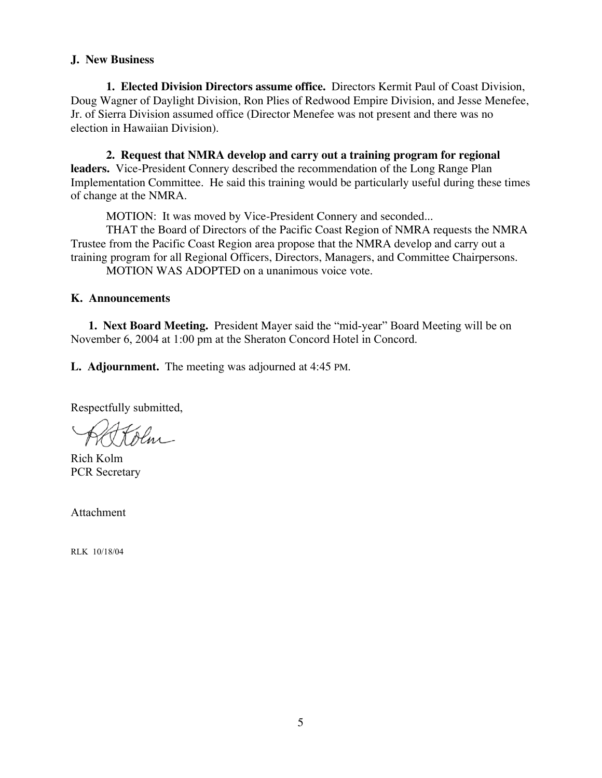#### **J. New Business**

**1. Elected Division Directors assume office.** Directors Kermit Paul of Coast Division, Doug Wagner of Daylight Division, Ron Plies of Redwood Empire Division, and Jesse Menefee, Jr. of Sierra Division assumed office (Director Menefee was not present and there was no election in Hawaiian Division).

**2. Request that NMRA develop and carry out a training program for regional leaders.** Vice-President Connery described the recommendation of the Long Range Plan Implementation Committee. He said this training would be particularly useful during these times of change at the NMRA.

MOTION: It was moved by Vice-President Connery and seconded...

THAT the Board of Directors of the Pacific Coast Region of NMRA requests the NMRA Trustee from the Pacific Coast Region area propose that the NMRA develop and carry out a training program for all Regional Officers, Directors, Managers, and Committee Chairpersons.

MOTION WAS ADOPTED on a unanimous voice vote.

#### **K. Announcements**

**1. Next Board Meeting.** President Mayer said the "mid-year" Board Meeting will be on November 6, 2004 at 1:00 pm at the Sheraton Concord Hotel in Concord.

**L. Adjournment.** The meeting was adjourned at 4:45 PM.

Respectfully submitted,

Olm

Rich Kolm PCR Secretary

Attachment

RLK 10/18/04